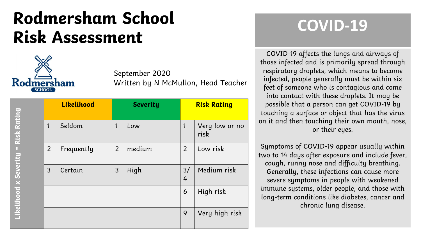## **Rodmersham School Risk Assessment**



|                       |                | Likelihood |                | <b>Severity</b> | <b>Risk Rating</b>  |                        |  |  |  |
|-----------------------|----------------|------------|----------------|-----------------|---------------------|------------------------|--|--|--|
| Risk Rating           | 1              | Seldom     | 1              | Low             |                     | Very low or no<br>risk |  |  |  |
| $\,$ II               | $\overline{2}$ | Frequently | $\overline{2}$ | medium          | $\overline{2}$      | Low risk               |  |  |  |
| Likelihood x Severity | $\overline{3}$ | Certain    | 3              | High            | 3/<br>$\frac{1}{4}$ | Medium risk            |  |  |  |
|                       |                |            |                |                 | 6                   | High risk              |  |  |  |
|                       |                |            |                |                 | 9                   | Very high risk         |  |  |  |

## **COVID-19**

COVID-19 affects the lungs and airways of those infected and is primarily spread through respiratory droplets, which means to become infected, people generally must be within six feet of someone who is contagious and come into contact with these droplets. It may be possible that a person can get COVID-19 by touching a surface or object that has the virus on it and then touching their own mouth, nose, or their eyes.

Symptoms of COVID-19 appear usually within two to 14 days after exposure and include fever, cough, runny nose and difficulty breathing. Generally, these infections can cause more severe symptoms in people with weakened immune systems, older people, and those with long-term conditions like diabetes, cancer and chronic lung disease.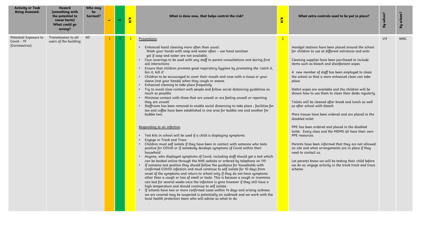| <b>Activity or Task</b><br><b>Being Assessed.</b>     | Hazard<br>(something with<br>the potential to<br>cause harm)<br>What could go<br>wrong? | Who may<br>be<br>harmed? | فسا | <b>SC</b> | <b>R/R</b> | What is done now, that helps control the risk?<br><b>R/R</b>                                                                                                                                                                                                                                                                                                                                                                                                                                                                                                                                                                                                                                                                                                                                                                                                                                                                                                                                                                                                                                                                                                                                                                                                                                                                                                                                                                                                                                                                                                                                                                                                                                                                                                                                                                                                                                                                                                                                                                                                                                                                                                                                                 |                | What extra controls need to be put in place?                                                                                                                                                                                                                                                                                                                                                                                                                                                                                                                                                                                                                                                                                                                                                                                                                                                                                                                                                                        | By when? | whom?<br>Гg |
|-------------------------------------------------------|-----------------------------------------------------------------------------------------|--------------------------|-----|-----------|------------|--------------------------------------------------------------------------------------------------------------------------------------------------------------------------------------------------------------------------------------------------------------------------------------------------------------------------------------------------------------------------------------------------------------------------------------------------------------------------------------------------------------------------------------------------------------------------------------------------------------------------------------------------------------------------------------------------------------------------------------------------------------------------------------------------------------------------------------------------------------------------------------------------------------------------------------------------------------------------------------------------------------------------------------------------------------------------------------------------------------------------------------------------------------------------------------------------------------------------------------------------------------------------------------------------------------------------------------------------------------------------------------------------------------------------------------------------------------------------------------------------------------------------------------------------------------------------------------------------------------------------------------------------------------------------------------------------------------------------------------------------------------------------------------------------------------------------------------------------------------------------------------------------------------------------------------------------------------------------------------------------------------------------------------------------------------------------------------------------------------------------------------------------------------------------------------------------------------|----------------|---------------------------------------------------------------------------------------------------------------------------------------------------------------------------------------------------------------------------------------------------------------------------------------------------------------------------------------------------------------------------------------------------------------------------------------------------------------------------------------------------------------------------------------------------------------------------------------------------------------------------------------------------------------------------------------------------------------------------------------------------------------------------------------------------------------------------------------------------------------------------------------------------------------------------------------------------------------------------------------------------------------------|----------|-------------|
| Potential Exposure to<br>Covid $-19$<br>(Coronavirus) | Transmission to all All<br>users of the building                                        |                          |     | 3         | ß          | Preventions<br>Enhanced hand cleaning more often than usual:<br>Wash your hands with soap and water often - use hand sanitiser<br>gel if soap and water are not available.<br>• Face coverings to be used with any staff to parent consultations and during first<br>aid interactions<br>Ensure that children promote good respiratory hygiene by promoting the 'catch it,<br>bin it, kill it'<br>• Children to be encouraged to cover their mouth and nose with a tissue or your<br>sleeve (not your hands) when they cough or sneeze.<br>Enhanced cleaning to take place frequently<br>Try to avoid close contact with people and follow social distancing guidelines as<br>much as possible<br>Minimise contact with those that are unwell or are feeling unwell or reporting<br>they are unwell<br>Staffroom has been removed to enable social distancing to take place ; facilities for<br>tea and coffee have been established in one area for bubble one and another for<br>bubble two.<br>Responding to an infection<br>• Test kits in school will be used if a child is displaying symptoms<br>Engage in Track and Trace<br>Children must self isolate if they have been in contact with someone who tests<br>positive for COVID or if somebody develops symptoms of Covid within their<br>household<br>Anyone, who displayed symptoms of Covid, including staff should get a test which<br>can be booked online through the NHS website or ordered by telephone on 119.<br>• If someone test positive they should follow the quidance for households with<br>confirmed COVID infection and must continue to self isolate for 10 days from<br>onset of the symptoms and return to school only if they do not have symptoms<br>other than a cough or loss of smell or taste. This is because a cough or insomnia<br>can last for several weeks once the infection is gone however if they still have a<br>high temperature and should continue to self isolate.<br>If schools have two or more confirmed cases within 14 days and arising sickness<br>we are covered may be suspected is potentially an outbreak and we work with the<br>local health protection team who will advise us what to do. | $\overline{2}$ | Handgel stations have been placed around the school<br>for children to use at different entrances and exits<br>Cleaning supplies have been purchased to include<br>items such as bleach and disinfectant wipes<br>A new member of staff has been employed to clean<br>the school so that a more enhanced clean can take<br>place.<br>Dettol wipes are available and the children will be<br>shown how to use them to clean their desks regularly<br>Toilets will be cleaned after break and lunch as well<br>as after school with bleach<br>More tissues have been ordered and are placed in the<br>disabled toilet<br>PPE has been ordered and placed in the disabled<br>toilet. Every class and the MDMS all have their own<br>PPE resources.<br>Parents have been informed that they are not allowed<br>on site and what arrangements are in place if they<br>need to contact us.<br>Let parents know we will be testing their child before<br>we do so; engage activity in the track track and trace<br>scheme. | 1/9      | <b>NMC</b>  |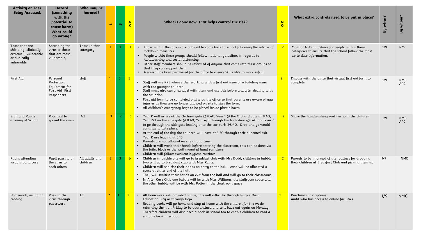| <b>Activity or Task</b><br><b>Being Assessed.</b>                                              | Hazard<br>(something<br>with the<br>potential to<br>cause harm)<br><b>What could</b><br>qo wrong? | Who may be<br>harmed?      | $\mathbf{r}$   | <b>SV</b>      | <b>R/R</b>     | What is done now, that helps control the risk?                                                                                                                                                                                                                                                                                                                                                                                                                                                                                                                                                                                                                 | <b>R/R</b>     | What extra controls need to be put in place?                                                                                      | By when? | whom?<br>By              |
|------------------------------------------------------------------------------------------------|---------------------------------------------------------------------------------------------------|----------------------------|----------------|----------------|----------------|----------------------------------------------------------------------------------------------------------------------------------------------------------------------------------------------------------------------------------------------------------------------------------------------------------------------------------------------------------------------------------------------------------------------------------------------------------------------------------------------------------------------------------------------------------------------------------------------------------------------------------------------------------------|----------------|-----------------------------------------------------------------------------------------------------------------------------------|----------|--------------------------|
| Those that are<br>shielding, clinically<br>extremely vulnerable<br>or clinically<br>vulnerable | Spreading the<br>virus to those<br>that are most<br>vulnerable,                                   | Those in that<br>catergory |                | $\overline{3}$ | $\overline{3}$ | • Those within this group are allowed to come back to school following the release of<br>lockdown measures.<br>• People within these groups should follow national quidelines in regards to<br>handwashing and social distancing.<br>• Other staff members should be informed of anyone that come into these groups so<br>that they can support them<br>• A screen has been purchased for the office to ensure SC is able to work safely.                                                                                                                                                                                                                      |                | Monitor NHS quidelines for people within those<br>categories to ensure that the school follow the most<br>up to date information. | 1/9      | <b>NMc</b>               |
| First Aid                                                                                      | Personal<br>Protection<br>Equipment for<br>First Aid First<br>Responders                          | staff                      |                | -3             | 3              | • Staff will use PPE when either working with a first aid issue or a toileting issue<br>with the younger children<br>• Staff must also carry handgel with them and use this before and after dealing with<br>the situation<br>First aid form to be completed online by the office so that parents are aware of nay<br>injuries as they are no longer allowed on site to sign the form.<br>All children's emergency bags to be placed inside plastic boxes                                                                                                                                                                                                      | $\overline{2}$ | Discuss with the office that virtual first aid form to<br>complete                                                                | 1/9      | <b>NMC</b><br><b>APC</b> |
| Staff and Pupils<br>arriving at School                                                         | Potential to<br>spread the virus                                                                  | All                        | 3 <sup>7</sup> | -2.            | $6-1$          | Year R will arrive at the Orchard gate @ 8:40, Year 1 @ the Orchard gate at 8:40,<br>Year 2/3 on the side gate @ 8:40, Year 4/5 through the back door @8:40 and Year 6<br>to go through the side gate leading onto the car park @8:40. Drop and go would<br>continue to take place.<br>• At the end of the day the children will leave at 3:30 through their allocated exit.<br>Year R are leaving at 3:15<br>Parents are not allowed on site at any time.<br>Children will wash their hands before entering the classroom, this can be done via<br>the toilet block or the wall mounted hand sanitisers.<br>• Children will follow excellent hygiene routines | $2^{\circ}$    | Share the handwashing routines with the children                                                                                  | 1/9      | <b>NMC</b><br>APC        |
| Pupils attending<br>wrap around care                                                           | Pupil passing on<br>the virus to<br>each others                                                   | All adults and<br>children | $2^{\circ}$    | $\overline{3}$ | $6 -$          | Children in bubble one will go to breakfast club with Mrs Dodd, children in bubble<br>two will go to breakfast club with Miss Rains.<br>Children will sanitise their hands on entry to the hall - each will be allocated a<br>space at either end of the hall.<br>• They will sanitise their hands on exit from the hall and will go to their classrooms.<br>• In After Care Club one bubble will be with Miss Williams, the staffroom space and<br>the other bubble will be with Mrs Potter in the cloakroom space                                                                                                                                            |                | Parents to be informed of the routines for dropping<br>their children at Breakfast Club and picking them up                       | 1/9      | <b>NMC</b>               |
| Homework, including<br>reading                                                                 | Passing the<br>virus through<br>paperwork                                                         | All                        | $\overline{2}$ |                |                | All homework will provided online, this will either be through Purple Mash,<br>Education City or through Dojo<br>Reading books will go home and stay at home with the children for the week;<br>returning them on Friday to be quarantined and sent back out again on Monday.<br>Therefore children will also need a book in school too to enable children to read a<br>suitable book in school.                                                                                                                                                                                                                                                               |                | Purchase subscriptions<br>Audit who has access to online facilities                                                               | 1/9      | <b>NMC</b>               |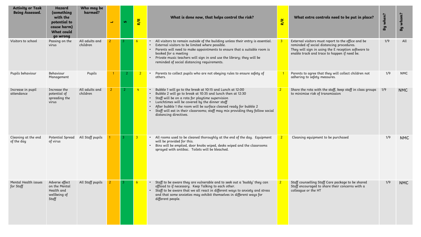| <b>Activity or Task</b><br><b>Being Assessed.</b> | Hazard<br>(something<br>with the<br>potential to<br>cause harm)<br><b>What could</b><br>go wrong | Who may be<br>harmed?      | $\overline{\phantom{a}}$ | <b>SV</b>      | <b>R/R</b>     | What is done now, that helps control the risk?                                                                                                                                                                                                                                                                                                                                                                      | <b>R/R</b>     | What extra controls need to be put in place?                                                                                                                                                           | By when? | whom?<br>Вy |
|---------------------------------------------------|--------------------------------------------------------------------------------------------------|----------------------------|--------------------------|----------------|----------------|---------------------------------------------------------------------------------------------------------------------------------------------------------------------------------------------------------------------------------------------------------------------------------------------------------------------------------------------------------------------------------------------------------------------|----------------|--------------------------------------------------------------------------------------------------------------------------------------------------------------------------------------------------------|----------|-------------|
| Visitors to school                                | Passing on the<br>virus                                                                          | All adults and<br>children |                          |                |                | All visitors to remain outside of the building unless their entry is essential.<br>External visitors to be limited where possible.<br>Parents will need to make appointments to ensure that a suitable room is<br>booked for a meeting<br>Private music teachers will sign in and use the library; they will be<br>reminded of social distancing requirements.                                                      | $\overline{3}$ | External visitors must report to the office and be<br>reminded of social distancing procedures.<br>They will sign in using the E reception software to<br>enable track and trace to happen if need be. | 1/9      | All         |
| Pupils behaviour                                  | Behaviour<br>Management                                                                          | Pupils                     |                          |                | 2 <sup>2</sup> | Parents to collect pupils who are not obeying rules to ensure safety of<br>others.                                                                                                                                                                                                                                                                                                                                  |                | Parents to agree that they will collect children not<br>adhering to safety measures.                                                                                                                   | 1/9      | <b>NMC</b>  |
| Increase in pupil<br>attendance                   | Increase the<br>potential of<br>spreading the<br>virus                                           | All adults and<br>children | 2 <sup>1</sup>           | $\overline{2}$ | 4              | Bubble 1 will go to the break at 10:15 and Lunch at 12:00<br>Bubble 2 will go to break at 10:35 and lunch then at 12:30<br>· Staff will be on a rota for playtime supervision<br>Lunchtimes will be covered by the dinner staff<br>• After bubble 1 the room will be surface cleaned ready for bubble 2<br>Staff will eat in their classrooms; staff may mix providing they follow social<br>distancing directives. | $\overline{2}$ | Share the rota with the staff, keep staff in class groups<br>to minimise risk of transmission                                                                                                          | 1/9      | <b>NMC</b>  |
| Cleaning at the end<br>of the day                 | Potential Spread All Staff pupils<br>of virus                                                    |                            |                          | -3.            | 3 <sup>1</sup> | • All rooms used to be cleaned thoroughly at the end of the day. Equipment<br>will be provided for this.<br>Bins will be emptied, door knobs wiped, desks wiped and the classrooms<br>sprayed with antibac. Toilets will be bleached.                                                                                                                                                                               | $\overline{2}$ | Cleaning equipment to be purchased                                                                                                                                                                     | 1/9      | <b>NMC</b>  |
| Mental Health issues<br>for Staff                 | Adverse effect<br>on the Mental<br>Health and<br>wellbeing of<br>Staff                           | All Staff pupils           |                          |                |                | Staff to be aware they are vulnerable and to seek out a 'buddy' they can<br>offload to if necessary. Keep Talking to each other.<br>Staff to be aware that we all react in different ways to anxiety and stress<br>and that some anxieties may exhibit themselves in different ways for<br>different people.                                                                                                        | $\overline{2}$ | Staff counselling Staff Care package to be shared<br>Staff encouraged to share their concerns with a<br>colleague or the HT                                                                            | 1/9      | <b>NMC</b>  |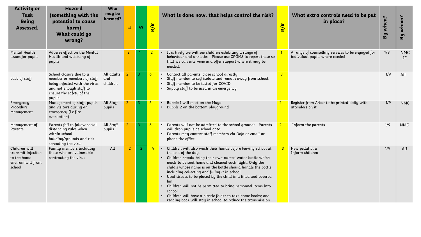| <b>Activity or</b><br>Task<br><b>Being</b><br>Assessed.                          | <b>Hazard</b><br>(something with the<br>potential to cause<br>harm)<br>What could go<br>wrong?                                                          | Who<br>may be<br>harmed?      | $\overline{\phantom{0}}$ | <b>S</b>       | R/R             | What is done now, that helps control the risk?                                                                                                                                                                                                                                                                                                                                                                                                                                                                                                                                                                | R/R            | What extra controls need to be put<br>in place?                                     | when?<br>By | whom?<br>By             |
|----------------------------------------------------------------------------------|---------------------------------------------------------------------------------------------------------------------------------------------------------|-------------------------------|--------------------------|----------------|-----------------|---------------------------------------------------------------------------------------------------------------------------------------------------------------------------------------------------------------------------------------------------------------------------------------------------------------------------------------------------------------------------------------------------------------------------------------------------------------------------------------------------------------------------------------------------------------------------------------------------------------|----------------|-------------------------------------------------------------------------------------|-------------|-------------------------|
| Mental Health<br>issues for pupils                                               | Adverse effect on the Mental<br>Health and wellbeing of<br>pupils                                                                                       |                               | 2                        |                |                 | It is likely we will see children exhibiting a range of<br>behaviour and anxieties. Please use CPOMS to report these so<br>that we can intervene and offer support where it may be<br>needed.                                                                                                                                                                                                                                                                                                                                                                                                                 |                | A range of counselling services to be engaged for<br>individual pupils where needed | 1/9         | <b>NMC</b><br><b>JF</b> |
| Lack of staff                                                                    | School closure due to a<br>member or members of staff<br>being infected with the virus<br>and not enough staff to<br>ensure the safety of the<br>pupils | All adults<br>and<br>children |                          |                | $6\overline{6}$ | Contact all parents, close school directly<br>Staff member to self isolate and remain away from school.<br>Staff member to be tested for COVID<br>Supply staff to be used in an emergency                                                                                                                                                                                                                                                                                                                                                                                                                     | $\overline{3}$ |                                                                                     | 1/9         | All                     |
| Emergency<br>Procedure<br>Management                                             | Management of staff, pupils<br>and visitors during an<br>emergency (i.e fire<br>evacuation)                                                             | All Staff<br>pupils           | 2 <sup>1</sup>           | -3.            | $6\overline{6}$ | Bubble 1 will meet on the Muga<br>Bubble 2 on the bottom playground                                                                                                                                                                                                                                                                                                                                                                                                                                                                                                                                           | $\overline{2}$ | Register from Arbor to be printed daily with<br>attendees on it                     | 1/9         | <b>NMC</b>              |
| Management of<br>Parents                                                         | Parents fail to follow social<br>distancing rules when<br>within school<br>building/grounds and risk<br>spreading the virus                             | All Staff<br>pupils           |                          |                | $\overline{6}$  | Parents will not be admitted to the school grounds. Parents<br>will drop pupils at school gate.<br>Parents may contact staff members via Dojo or email or<br>phone the office                                                                                                                                                                                                                                                                                                                                                                                                                                 | $\overline{2}$ | Inform the parents                                                                  | 1/9         | <b>NMC</b>              |
| Children will<br>transmit infection<br>to the home<br>environment from<br>school | Family members including<br>those who are vulnerable<br>contracting the virus                                                                           | All                           | $\overline{2}$           | $\overline{2}$ | 4               | Children will also wash their hands before leaving school at<br>the end of the day.<br>Children should bring their own named water bottle which<br>needs to be sent home and cleaned each night. Only the<br>child's whose name is on the bottle should handle the bottle,<br>including collecting and filling it in school.<br>Used tissues to be placed by the child in a lined and covered<br>bin.<br>Children will not be permitted to bring personnel items into<br>school<br>Children will have a plastic folder to take home books; one<br>reading book will stay in school to reduce the transmission |                | New pedal bins<br>Inform children                                                   | 1/9         | All                     |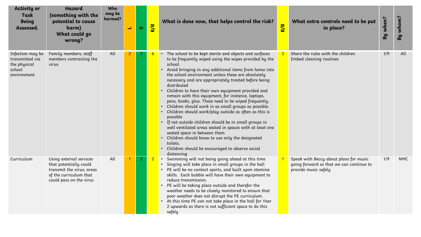| <b>Activity or</b><br>Task<br><b>Being</b><br>Assessed.                      | <b>Hazard</b><br>(something with the<br>potential to cause<br>harm)<br>What could go<br>wrong?                                      | Who<br>may be<br>harmed? | L. | <b>SV</b> | R/R | What is done now, that helps control the risk?                                                                                                                                                                                                                                                                                                                                                                                                                                                                                                                                                                                                                                                                                                                                                                                                                                                                      | <b>R/R</b> | What extra controls need to be put<br>in place?                                                            | By when? | whom?<br>Eg |
|------------------------------------------------------------------------------|-------------------------------------------------------------------------------------------------------------------------------------|--------------------------|----|-----------|-----|---------------------------------------------------------------------------------------------------------------------------------------------------------------------------------------------------------------------------------------------------------------------------------------------------------------------------------------------------------------------------------------------------------------------------------------------------------------------------------------------------------------------------------------------------------------------------------------------------------------------------------------------------------------------------------------------------------------------------------------------------------------------------------------------------------------------------------------------------------------------------------------------------------------------|------------|------------------------------------------------------------------------------------------------------------|----------|-------------|
| Infection may be<br>transmitted via<br>the physical<br>school<br>environment | Family members; staff<br>members contracting the<br>virus                                                                           | All                      |    |           |     | The school to be kept sterile and objects and surfaces<br>to be frequently wiped using the wipes provided by the<br>school.<br>Avoid bringing in any additional items from home into<br>the school environment unless these are absolutely<br>necessary and are appropriately treated before being<br>distributed<br>Children to have their own equipment provided and<br>remain with this equipment, for instance, laptops,<br>pens, books, glue. These need to be wiped frequently.<br>Children should work in as small groups as possible.<br>Children should work/play outside as often as this is<br>possible<br>If not outside children should be in small groups in<br>well ventilated areas seated in spaces with at least one<br>seated space in between them<br>Children should know to use only the designated<br>$\bullet$<br>toilets.<br>Children should be encouraged to observe social<br>distancing |            | Share the rules with the children<br>Embed cleaning routines                                               | 1/9      | All         |
| Curriculum                                                                   | Using external services<br>that potentially could<br>transmit the virus; areas<br>of the curriculum that<br>could pass on the virus | All                      |    | 2         |     | Swimming will not being going ahead at this time<br>$\bullet$<br>Singing will take place in small groups in the hall<br>PE will be no contact sports, and built upon stamina<br>skills. Each bubble will have their own equipment to<br>reduce transmission.<br>PE will be taking place outside and therefor the<br>weather needs to be closely monitored to ensure that<br>poor weather does not disrupt the PE curriculum.<br>At this time PE can not take place in the hall for Year<br>$\bullet$<br>2 upwards as there is not sufficient space to do this<br>safely                                                                                                                                                                                                                                                                                                                                             |            | Speak with Beccy about plans for music<br>going forward so that we can continue to<br>provide music safely | 1/9      | <b>NMC</b>  |